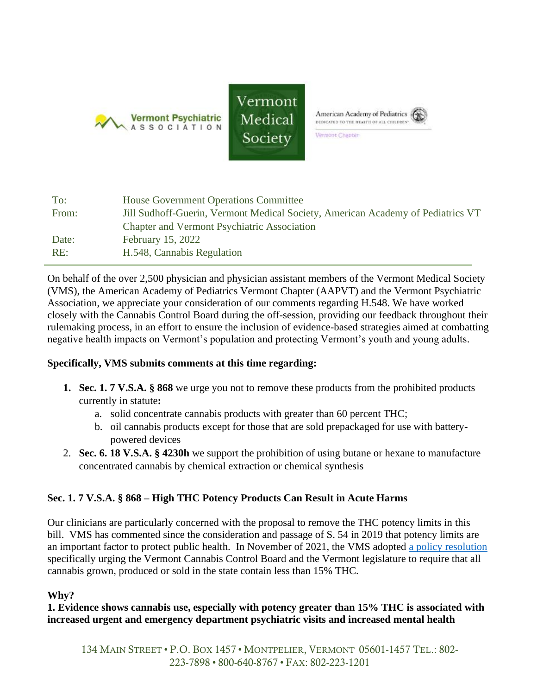





Vermont Chapter

| <b>House Government Operations Committee</b>                                    |
|---------------------------------------------------------------------------------|
| Jill Sudhoff-Guerin, Vermont Medical Society, American Academy of Pediatrics VT |
| <b>Chapter and Vermont Psychiatric Association</b>                              |
| <b>February 15, 2022</b>                                                        |
| H.548, Cannabis Regulation                                                      |
|                                                                                 |

On behalf of the over 2,500 physician and physician assistant members of the Vermont Medical Society (VMS), the American Academy of Pediatrics Vermont Chapter (AAPVT) and the Vermont Psychiatric Association, we appreciate your consideration of our comments regarding H.548. We have worked closely with the Cannabis Control Board during the off-session, providing our feedback throughout their rulemaking process, in an effort to ensure the inclusion of evidence-based strategies aimed at combatting negative health impacts on Vermont's population and protecting Vermont's youth and young adults.

### **Specifically, VMS submits comments at this time regarding:**

- **1. Sec. 1. 7 V.S.A. § 868** we urge you not to remove these products from the prohibited products currently in statute**:**
	- a. solid concentrate cannabis products with greater than 60 percent THC;
	- b. oil cannabis products except for those that are sold prepackaged for use with batterypowered devices
- 2. **Sec. 6. 18 V.S.A. § 4230h** we support the prohibition of using butane or hexane to manufacture concentrated cannabis by chemical extraction or chemical synthesis

# **Sec. 1. 7 V.S.A. § 868 – High THC Potency Products Can Result in Acute Harms**

Our clinicians are particularly concerned with the proposal to remove the THC potency limits in this bill. VMS has commented since the consideration and passage of S. 54 in 2019 that potency limits are an important factor to protect public health. In November of 2021, the VMS adopted [a policy resolution](https://vtmd.org/client_media/files/2021_VMS_Cannabis_Resolution_As_Passed_by_Board.pdf) specifically urging the Vermont Cannabis Control Board and the Vermont legislature to require that all cannabis grown, produced or sold in the state contain less than 15% THC.

### **Why?**

### **1. Evidence shows cannabis use, especially with potency greater than 15% THC is associated with increased urgent and emergency department psychiatric visits and increased mental health**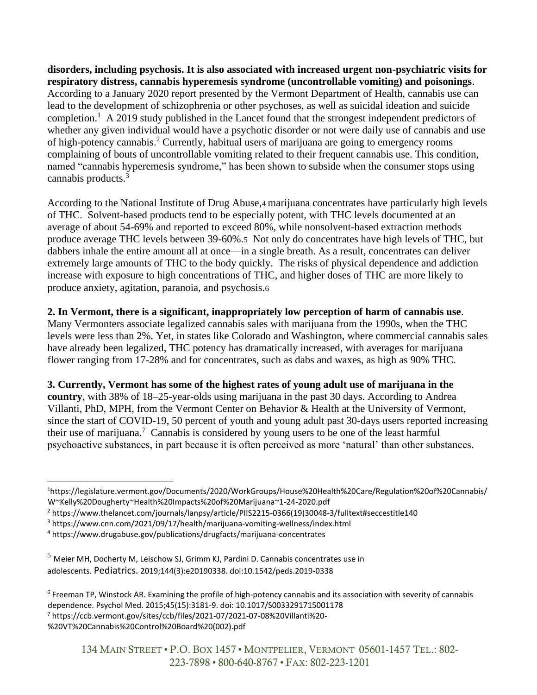**disorders, including psychosis. It is also associated with increased urgent non-psychiatric visits for respiratory distress, cannabis hyperemesis syndrome (uncontrollable vomiting) and poisonings**. According to a January 2020 report presented by the Vermont Department of Health, cannabis use can lead to the development of schizophrenia or other psychoses, as well as suicidal ideation and suicide completion.<sup>1</sup> A 2019 study published in the Lancet found that the strongest independent predictors of whether any given individual would have a psychotic disorder or not were daily use of cannabis and use of high-potency cannabis.<sup>2</sup> Currently, habitual users of marijuana are going to emergency rooms complaining of bouts of uncontrollable vomiting related to their frequent cannabis use. This condition, named "cannabis hyperemesis syndrome," has been shown to subside when the consumer stops using cannabis products.<sup>3</sup>

According to the National Institute of Drug Abuse,4 marijuana concentrates have particularly high levels of THC. Solvent-based products tend to be especially potent, with THC levels documented at an average of about 54-69% and reported to exceed 80%, while nonsolvent-based extraction methods produce average THC levels between 39-60%.5 Not only do concentrates have high levels of THC, but dabbers inhale the entire amount all at once—in a single breath. As a result, concentrates can deliver extremely large amounts of THC to the body quickly. The risks of physical dependence and addiction increase with exposure to high concentrations of THC, and higher doses of THC are more likely to produce anxiety, agitation, paranoia, and psychosis.6

## **2. In Vermont, there is a significant, inappropriately low perception of harm of cannabis use**.

Many Vermonters associate legalized cannabis sales with marijuana from the 1990s, when the THC levels were less than 2%. Yet, in states like Colorado and Washington, where commercial cannabis sales have already been legalized, THC potency has dramatically increased, with averages for marijuana flower ranging from 17-28% and for concentrates, such as dabs and waxes, as high as 90% THC.

**3. Currently, Vermont has some of the highest rates of young adult use of marijuana in the country**, with 38% of 18–25-year-olds using marijuana in the past 30 days. According to Andrea Villanti, PhD, MPH, from the Vermont Center on Behavior & Health at the University of Vermont, since the start of COVID-19, 50 percent of youth and young adult past 30-days users reported increasing their use of marijuana. <sup>7</sup> Cannabis is considered by young users to be one of the least harmful psychoactive substances, in part because it is often perceived as more 'natural' than other substances.

<sup>7</sup> https://ccb.vermont.gov/sites/ccb/files/2021-07/2021-07-08%20Villanti%20-

<sup>1</sup>https://legislature.vermont.gov/Documents/2020/WorkGroups/House%20Health%20Care/Regulation%20of%20Cannabis/ W~Kelly%20Dougherty~Health%20Impacts%20of%20Marijuana~1-24-2020.pdf

<sup>2</sup> https://www.thelancet.com/journals/lanpsy/article/PIIS2215-0366(19)30048-3/fulltext#seccestitle140

<sup>3</sup> https://www.cnn.com/2021/09/17/health/marijuana-vomiting-wellness/index.html

<sup>4</sup> https://www.drugabuse.gov/publications/drugfacts/marijuana-concentrates

 $5$  Meier MH, Docherty M, Leischow SJ, Grimm KJ, Pardini D. Cannabis concentrates use in adolescents. Pediatrics. 2019;144(3):e20190338. doi:10.1542/peds.2019-0338

<sup>6</sup> Freeman TP, Winstock AR. Examining the profile of high-potency cannabis and its association with severity of cannabis dependence. Psychol Med. 2015;45(15):3181-9. doi: 10.1017/S0033291715001178

<sup>%20</sup>VT%20Cannabis%20Control%20Board%20(002).pdf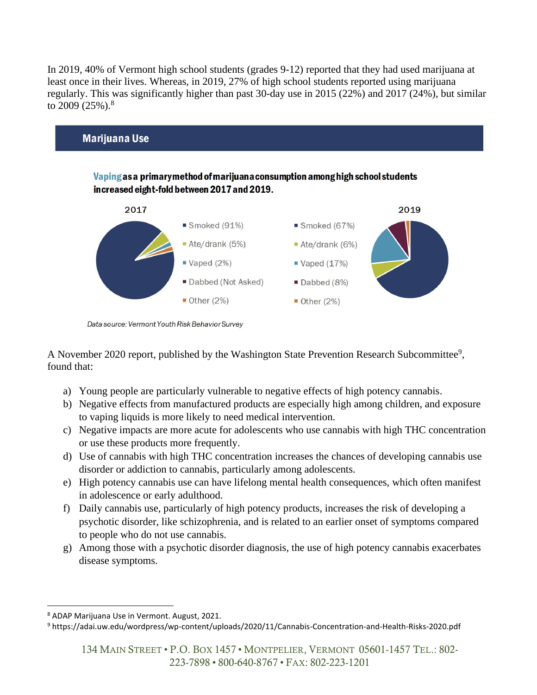In 2019, 40% of Vermont high school students (grades 9-12) reported that they had used marijuana at least once in their lives. Whereas, in 2019, 27% of high school students reported using marijuana regularly. This was significantly higher than past 30-day use in 2015 (22%) and 2017 (24%), but similar to 2009 (25%).<sup>8</sup>



Data source: Vermont Youth Risk Behavior Survey

A November 2020 report, published by the Washington State Prevention Research Subcommittee<sup>9</sup>, found that:

- a) Young people are particularly vulnerable to negative effects of high potency cannabis.
- b) Negative effects from manufactured products are especially high among children, and exposure to vaping liquids is more likely to need medical intervention.
- c) Negative impacts are more acute for adolescents who use cannabis with high THC concentration or use these products more frequently.
- d) Use of cannabis with high THC concentration increases the chances of developing cannabis use disorder or addiction to cannabis, particularly among adolescents.
- e) High potency cannabis use can have lifelong mental health consequences, which often manifest in adolescence or early adulthood.
- f) Daily cannabis use, particularly of high potency products, increases the risk of developing a psychotic disorder, like schizophrenia, and is related to an earlier onset of symptoms compared to people who do not use cannabis.
- g) Among those with a psychotic disorder diagnosis, the use of high potency cannabis exacerbates disease symptoms.

<sup>8</sup> ADAP Marijuana Use in Vermont. August, 2021.

<sup>9</sup> https://adai.uw.edu/wordpress/wp-content/uploads/2020/11/Cannabis-Concentration-and-Health-Risks-2020.pdf